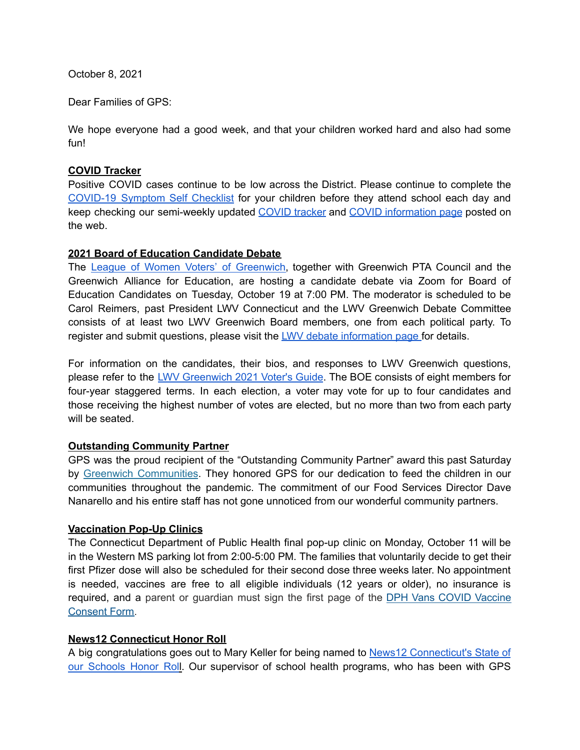October 8, 2021

Dear Families of GPS:

We hope everyone had a good week, and that your children worked hard and also had some fun!

# **COVID Tracker**

Positive COVID cases continue to be low across the District. Please continue to complete the [COVID-19](https://resources.finalsite.net/images/v1600868987/greenwich/vrdoomnnyw1oq6vnh4vp/GPSCOVIDSelfChecklistENGLISH-2.pdf) Symptom Self Checklist for your children before they attend school each day and keep checking our semi-weekly updated [COVID](https://www.greenwichschools.org/teaching-learning/student-support-services/health-services/covid-19/covid-19-tracker-2021-2022-school-year) tracker and COVID [information](https://www.greenwichschools.org/teaching-learning/student-support-services/health-services/covid-19) page posted on the web.

# **2021 Board of Education Candidate Debate**

The League of Women Voters' of [Greenwich,](https://lwvgreenwich.org/) together with Greenwich PTA Council and the Greenwich Alliance for Education, are hosting a candidate debate via Zoom for Board of Education Candidates on Tuesday, October 19 at 7:00 PM. The moderator is scheduled to be Carol Reimers, past President LWV Connecticut and the LWV Greenwich Debate Committee consists of at least two LWV Greenwich Board members, one from each political party. To register and submit questions, please visit the LWV debate [information](https://www.lwvgreenwich.org/content.aspx?page_id=4002&club_id=784813&item_id=1540418) page for details.

For information on the candidates, their bios, and responses to LWV Greenwich questions, please refer to the LWV [Greenwich](https://www.lwvgreenwich.org/content.aspx?page_id=22&club_id=784813&module_id=491207) 2021 Voter's Guide. The BOE consists of eight members for four-year staggered terms. In each election, a voter may vote for up to four candidates and those receiving the highest number of votes are elected, but no more than two from each party will be seated.

# **Outstanding Community Partner**

GPS was the proud recipient of the "Outstanding Community Partner" award this past Saturday by Greenwich [Communities](https://greenwichcommunity.org/). They honored GPS for our dedication to feed the children in our communities throughout the pandemic. The commitment of our Food Services Director Dave Nanarello and his entire staff has not gone unnoticed from our wonderful community partners.

# **Vaccination Pop-Up Clinics**

The Connecticut Department of Public Health final pop-up clinic on Monday, October 11 will be in the Western MS parking lot from 2:00-5:00 PM. The families that voluntarily decide to get their first Pfizer dose will also be scheduled for their second dose three weeks later. No appointment is needed, vaccines are free to all eligible individuals (12 years or older), no insurance is required, and a parent or guardian must sign the first page of the DPH Vans COVID [Vaccine](https://portal.ct.gov/vaccine-portal/-/media/Coronavirus/DPH-Vans/COVID-vaccine-intake-form-ALL.docx) [Consent](https://portal.ct.gov/vaccine-portal/-/media/Coronavirus/DPH-Vans/COVID-vaccine-intake-form-ALL.docx) Form.

#### **News12 Connecticut Honor Roll**

A big congratulations goes out to Mary Keller for being named to News12 [Connecticut's](https://connecticut.news12.com/ct-honor-roll) State of our [Schools](https://connecticut.news12.com/ct-honor-roll) Honor Roll. Our supervisor of school health programs, who has been with GPS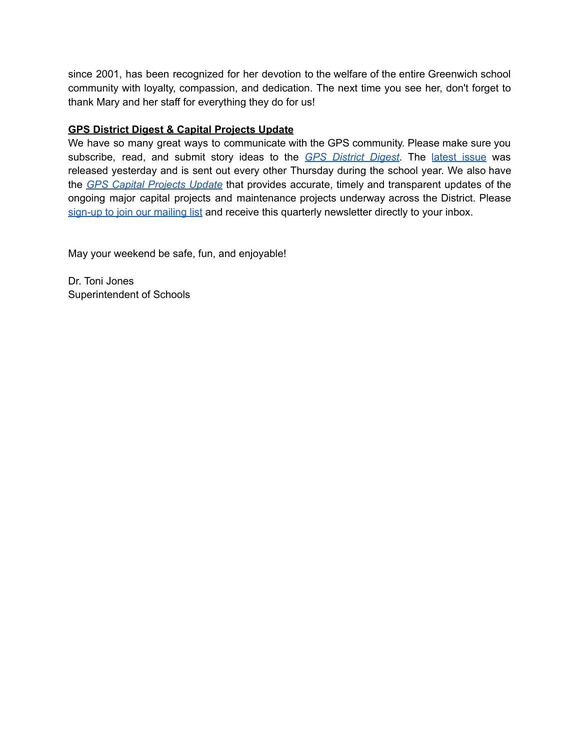since 2001, has been recognized for her devotion to the welfare of the entire Greenwich school community with loyalty, compassion, and dedication. The next time you see her, don't forget to thank Mary and her staff for everything they do for us!

# **GPS District Digest & Capital Projects Update**

We have so many great ways to communicate with the GPS community. Please make sure you subscribe, read, and submit story ideas to the *GPS [District](https://www.greenwichschools.org/departments/communications/district-digest-newsletter) Digest*. The [latest](https://www.smore.com/ar60j-gps-district-digest) issue was released yesterday and is sent out every other Thursday during the school year. We also have the *GPS Capital [Projects](https://www.smore.com/9qsak) Update* that provides accurate, timely and transparent updates of the ongoing major capital projects and maintenance projects underway across the District. Please [sign-up](https://www.greenwichschools.org/departments/facilities-rentals/building-grounds-projects/gps-capital-projects-newsletter) to join our mailing list and receive this quarterly newsletter directly to your inbox.

May your weekend be safe, fun, and enjoyable!

Dr. Toni Jones Superintendent of Schools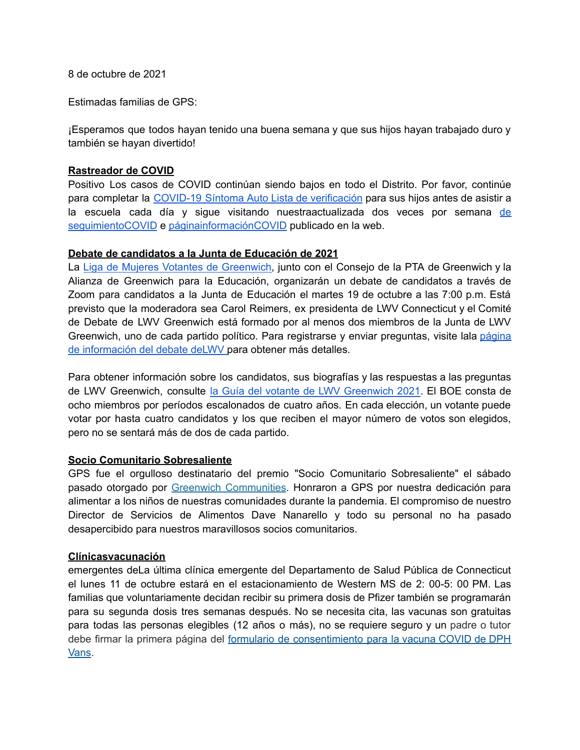8 de octubre de 2021

Estimadas familias de GPS:

¡Esperamos que todos hayan tenido una buena semana y que sus hijos hayan trabajado duro y también se hayan divertido!

## **Rastreador de COVID**

Positivo Los casos de COVID continúan siendo bajos en todo el Distrito. Por favor, continúe para completar la COVID-19 Síntoma Auto Lista de [verificación](https://resources.finalsite.net/images/v1600868987/greenwich/vrdoomnnyw1oq6vnh4vp/GPSCOVIDSelfChecklistENGLISH-2.pdf) para sus hijos antes de asistir a la escuela cada día y sigue visitando nuestraactualizada dos veces por semana [de](https://www.greenwichschools.org/teaching-learning/student-support-services/health-services/covid-19/covid-19-tracker-2021-2022-school-year) [seguimientoCOVID](https://www.greenwichschools.org/teaching-learning/student-support-services/health-services/covid-19/covid-19-tracker-2021-2022-school-year) e [páginainformaciónCOVID](https://www.greenwichschools.org/teaching-learning/student-support-services/health-services/covid-19) publicado en la web.

### **Debate de candidatos a la Junta de Educación de 2021**

La Liga de Mujeres Votantes de [Greenwich,](https://lwvgreenwich.org/) junto con el Consejo de la PTA de Greenwich y la Alianza de Greenwich para la Educación, organizarán un debate de candidatos a través de Zoom para candidatos a la Junta de Educación el martes 19 de octubre a las 7:00 p.m. Está previsto que la moderadora sea Carol Reimers, ex presidenta de LWV Connecticut y el Comité de Debate de LWV Greenwich está formado por al menos dos miembros de la Junta de LWV Greenwich, uno de cada partido político. Para registrarse y enviar preguntas, visite lala [página](https://www.lwvgreenwich.org/content.aspx?page_id=4002&club_id=784813&item_id=1540418) de [información](https://www.lwvgreenwich.org/content.aspx?page_id=4002&club_id=784813&item_id=1540418) del debate deLWV para obtener más detalles.

Para obtener información sobre los candidatos, sus biografías y las respuestas a las preguntas de LWV Greenwich, consulte la Guía del votante de LWV [Greenwich](https://www.lwvgreenwich.org/content.aspx?page_id=22&club_id=784813&module_id=491207) 2021. El BOE consta de ocho miembros por períodos escalonados de cuatro años. En cada elección, un votante puede votar por hasta cuatro candidatos y los que reciben el mayor número de votos son elegidos, pero no se sentará más de dos de cada partido.

#### **Socio Comunitario Sobresaliente**

GPS fue el orgulloso destinatario del premio "Socio Comunitario Sobresaliente" el sábado pasado otorgado por Greenwich [Communities](https://greenwichcommunity.org/). Honraron a GPS por nuestra dedicación para alimentar a los niños de nuestras comunidades durante la pandemia. El compromiso de nuestro Director de Servicios de Alimentos Dave Nanarello y todo su personal no ha pasado desapercibido para nuestros maravillosos socios comunitarios.

# **Clínicasvacunación**

emergentes deLa última clínica emergente del Departamento de Salud Pública de Connecticut el lunes 11 de octubre estará en el estacionamiento de Western MS de 2: 00-5: 00 PM. Las familias que voluntariamente decidan recibir su primera dosis de Pfizer también se programarán para su segunda dosis tres semanas después. No se necesita cita, las vacunas son gratuitas para todas las personas elegibles (12 años o más), no se requiere seguro y un padre o tutor debe firmar la primera página del formulario de [consentimiento](https://portal.ct.gov/vaccine-portal/-/media/Coronavirus/DPH-Vans/COVID-vaccine-intake-form-ALL.docx) para la vacuna COVID de DPH [Vans](https://portal.ct.gov/vaccine-portal/-/media/Coronavirus/DPH-Vans/COVID-vaccine-intake-form-ALL.docx).